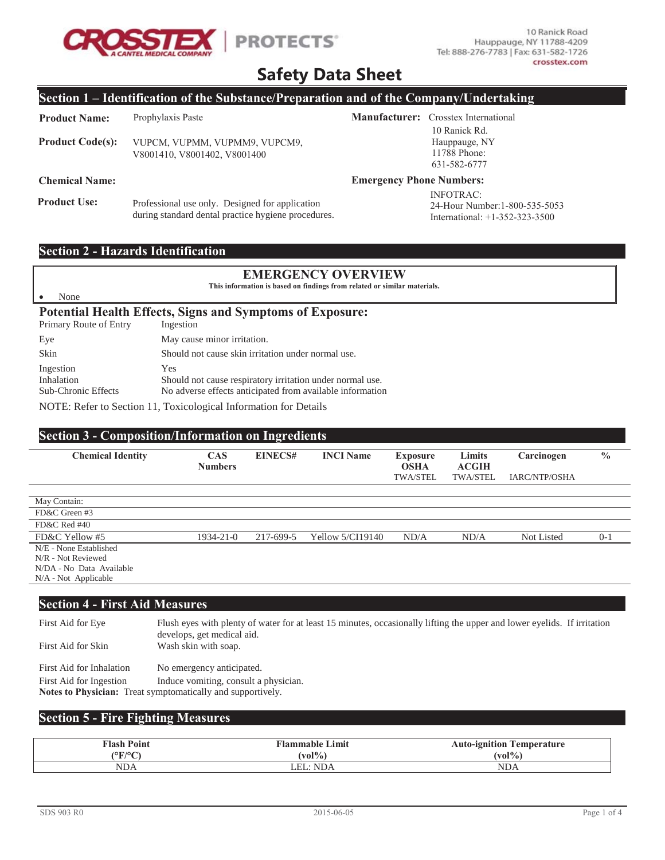

10 Ranick Road Hauppauge, NY 11788-4209 Tel: 888-276-7783 | Fax: 631-582-1726 crosstex.com

24-Hour Number: 1-800-535-5053 International: +1-352-323-3500

# **Safety Data Sheet**

### **Section 1 – Identification of the Substance/Preparation and of the Company/Undertaking**

| <b>Product Name:</b>    | Prophylaxis Paste                                             |                                 | <b>Manufacturer:</b> Crosstex International                    |
|-------------------------|---------------------------------------------------------------|---------------------------------|----------------------------------------------------------------|
| <b>Product Code(s):</b> | VUPCM, VUPMM, VUPMM9, VUPCM9,<br>V8001410, V8001402, V8001400 |                                 | 10 Ranick Rd.<br>Hauppauge, NY<br>11788 Phone:<br>631-582-6777 |
| <b>Chemical Name:</b>   |                                                               | <b>Emergency Phone Numbers:</b> |                                                                |
|                         |                                                               |                                 | INFOTRAC:                                                      |

**Product Use:** Professional use only. Designed for application during standard dental practice hygiene procedures.

## **Section 2 - Hazards Identification**

• None

### **EMERGENCY OVERVIEW**

This information is based on findings from related or similar materials.

#### Potential Health Effects, Signs and Symptoms of Exposure:

| Primary Route of Entry                                | Ingestion                                                                                                                     |
|-------------------------------------------------------|-------------------------------------------------------------------------------------------------------------------------------|
| Eye                                                   | May cause minor irritation.                                                                                                   |
| Skin                                                  | Should not cause skin irritation under normal use.                                                                            |
| Ingestion<br>Inhalation<br><b>Sub-Chronic Effects</b> | Yes<br>Should not cause respiratory irritation under normal use.<br>No adverse effects anticipated from available information |

NOTE: Refer to Section 11, Toxicological Information for Details

### **Section 3 - Composition/Information on Ingredients**

| <b>Chemical Identity</b> | <b>CAS</b><br><b>Numbers</b> | <b>EINECS#</b> | <b>INCI Name</b>   | <b>Exposure</b><br><b>OSHA</b><br><b>TWA/STEL</b> | Limits<br><b>ACGIH</b><br><b>TWA/STEL</b> | Carcinogen<br>IARC/NTP/OSHA | $\frac{0}{0}$ |
|--------------------------|------------------------------|----------------|--------------------|---------------------------------------------------|-------------------------------------------|-----------------------------|---------------|
|                          |                              |                |                    |                                                   |                                           |                             |               |
| May Contain:             |                              |                |                    |                                                   |                                           |                             |               |
| FD&C Green #3            |                              |                |                    |                                                   |                                           |                             |               |
| FD&C Red #40             |                              |                |                    |                                                   |                                           |                             |               |
| FD&C Yellow #5           | $1934 - 21 - 0$              | 217-699-5      | Yellow $5/CI19140$ | ND/A                                              | ND/A                                      | Not Listed                  | $0-1$         |
| N/E - None Established   |                              |                |                    |                                                   |                                           |                             |               |
| N/R - Not Reviewed       |                              |                |                    |                                                   |                                           |                             |               |
| N/DA - No Data Available |                              |                |                    |                                                   |                                           |                             |               |
| $N/A$ - Not Applicable   |                              |                |                    |                                                   |                                           |                             |               |

# **Section 4 - First Aid Measures**

First Aid for Eye Flush eyes with plenty of water for at least 15 minutes, occasionally lifting the upper and lower eyelids. If irritation develops, get medical aid. First Aid for Skin Wash skin with soap. First Aid for Inhalation No emergency anticipated. First Aid for Ingestion Induce vomiting, consult a physician. Notes to Physician: Treat symptomatically and supportively.

### **Section 5 - Fire Fighting Measures**

| <b>Flash Point</b>                            | $\lceil$ ammable $\lceil$<br>∟imit | Auto-ignition<br>emperature  |
|-----------------------------------------------|------------------------------------|------------------------------|
| $\sqrt{\mathbb{Q}}\mathbb{F}/\mathbb{Q}$<br>◡ | $(v_0)^{0/2}$                      | $\left(\text{vol}\% \right)$ |
| <b>NDA</b>                                    | NDA.                               | <b>NDA</b>                   |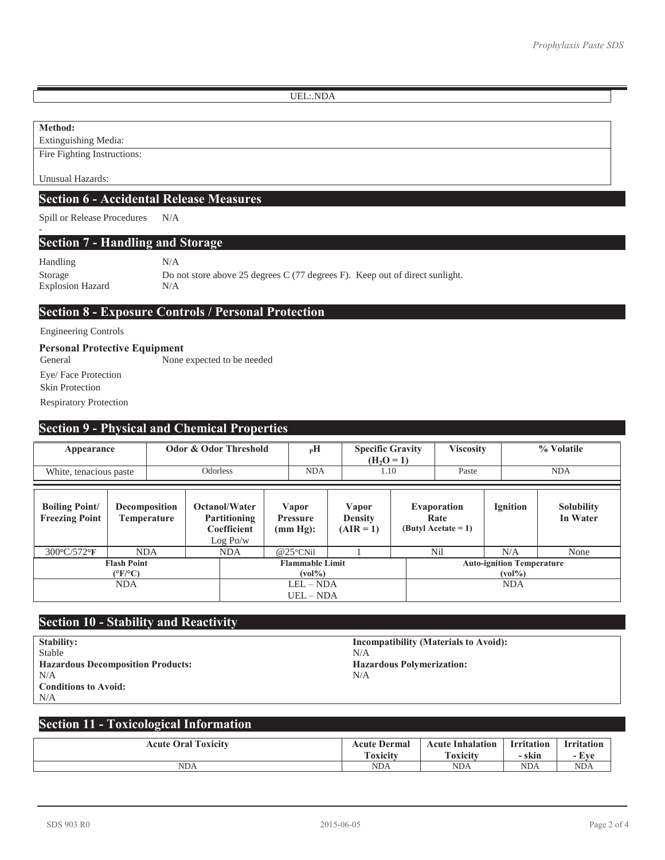UEL:.NDA

### **Method:**

-

Extinguishing Media: Fire Fighting Instructions:

Unusual Hazards:

## **Section 6 - Accidental Release Measures**

Spill or Release Procedures N/A

### **Section 7 - Handling and Storage**

Handling N/A Storage Do not store above 25 degrees C (77 degrees F). Keep out of direct sunlight. Explosion Hazard N/A

# **Section 8 - Exposure Controls / Personal Protection**

#### Engineering Controls

# **Personal Protective Equipment**

General None expected to be needed Eye/ Face Protection Skin Protection Respiratory Protection

### **Section 9 - Physical and Chemical Properties**

| Appearance<br>White, tenacious paste           |            | Odor & Odor Threshold<br><b>Odorless</b> |                                                                        |            | $_{\rm P}$ H<br><b>NDA</b> | <b>Specific Gravity</b><br>$(H_2O=1)$<br>1.10 |                                        | <b>Viscosity</b><br>Paste                                          |  |                                              | % Volatile<br><b>NDA</b> |                               |
|------------------------------------------------|------------|------------------------------------------|------------------------------------------------------------------------|------------|----------------------------|-----------------------------------------------|----------------------------------------|--------------------------------------------------------------------|--|----------------------------------------------|--------------------------|-------------------------------|
| <b>Boiling Point/</b><br><b>Freezing Point</b> |            | <b>Decomposition</b><br>Temperature      | <b>Octanol/Water</b><br><b>Partitioning</b><br>Coefficient<br>Log Po/w |            |                            | Vapor<br><b>Pressure</b><br>(mm Hg):          | Vapor<br><b>Density</b><br>$(AIR = 1)$ |                                                                    |  | Evaporation<br>Rate<br>$(Butv1$ Acetate = 1) | <b>Ignition</b>          | <b>Solubility</b><br>In Water |
| 300°C/572°F                                    |            | <b>NDA</b>                               |                                                                        | <b>NDA</b> |                            | $@25^{\circ}$ CNil                            |                                        |                                                                    |  | Nil                                          | N/A                      | None                          |
| <b>Flash Point</b><br>$(^{\circ}F/^{\circ}C)$  |            | <b>Flammable Limit</b><br>$(vol\%)$      |                                                                        |            |                            |                                               |                                        | <b>Auto-ignition Temperature</b><br>$\left(\mathrm{vol}\% \right)$ |  |                                              |                          |                               |
|                                                | <b>NDA</b> |                                          |                                                                        |            | $LEL - NDA$<br>$UEL - NDA$ |                                               |                                        |                                                                    |  | <b>NDA</b>                                   |                          |                               |

# **Section 10 - Stability and Reactivity**

| <b>Stability:</b>                        | Inco |
|------------------------------------------|------|
| Stable                                   | N/A  |
| <b>Hazardous Decomposition Products:</b> | Haz  |
| N/A                                      | N/A  |
| <b>Conditions to Avoid:</b>              |      |
| N/A                                      |      |

**Incompatibility (Materials to Avoid): Hazardous Polymerization:**<br>N/A

# **Section 11 - Toxicological Information**

| <b>Acute Oral Toxicity</b> | Dermal<br>Acute            | Inhalation<br>Acute | <b>Irritation</b> | <b>Irritation</b> |
|----------------------------|----------------------------|---------------------|-------------------|-------------------|
|                            | $\mathbf{r}$ .<br>roxicity | Toxicity            | – skin            | Eve<br>- 1        |
| <b>NDA</b>                 | <b>NDA</b>                 | NDA                 | <b>NDA</b>        | <b>NDA</b>        |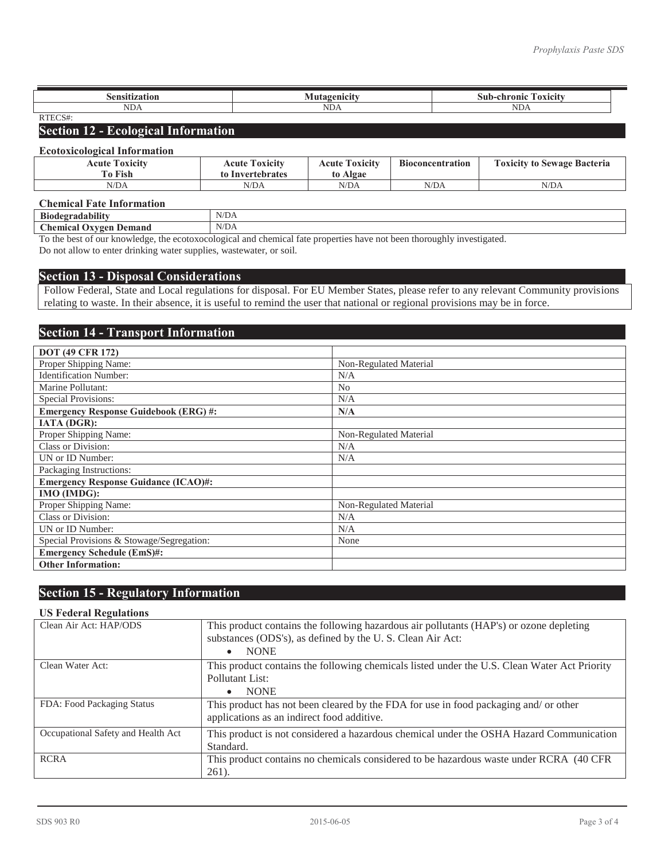| .ansitization                   |                      | $\overline{\phantom{a}}$<br>Su<br>chronic<br><b>AVIOU</b><br> |
|---------------------------------|----------------------|---------------------------------------------------------------|
| NDA                             | $\sim$ $\sim$<br>NDA | ND <sub>f</sub>                                               |
| $\sim$<br><b>DITT</b><br>111LUM |                      |                                                               |

# **Section 12 - Ecological Information**

#### **Ecotoxicological Information**

| <b>Acute Toxicity</b><br><b>To Fish</b> | <b>Acute Toxicity</b><br>to Invertebrates | <b>Acute Toxicity</b><br>to Algae | <b>Bioconcentration</b> | <b>Toxicity to Sewage Bacteria</b> |
|-----------------------------------------|-------------------------------------------|-----------------------------------|-------------------------|------------------------------------|
| N/DA                                    | N/DA                                      | N/DA                              | N/DA                    | N/DA                               |

#### **Chemical Fate Information**

| <b>Biodegra</b><br>adahir.                                       | NT/D<br>. .<br>.,<br>the contract of the contract of the contract of |
|------------------------------------------------------------------|----------------------------------------------------------------------|
| $\Gamma$ hemical $\Gamma$ .<br><b>Jemand</b><br>T<br>$\sim$<br>- | N/DA<br>the company of the company of the                            |
| $\sim$                                                           |                                                                      |

To the best of our knowledge, the ecotoxocological and chemical fate properties have not been thoroughly investigated. Do not allow to enter drinking water supplies, wastewater, or soil.

#### **Section 13 - Disposal Considerations**

Follow Federal, State and Local regulations for disposal. For EU Member States, please refer to any relevant Community provisions relating to waste. In their absence, it is useful to remind the user that national or regional provisions may be in force.

### **Section 14 - Transport Information**

| <b>DOT (49 CFR 172)</b>                     |                        |
|---------------------------------------------|------------------------|
| Proper Shipping Name:                       | Non-Regulated Material |
| <b>Identification Number:</b>               | N/A                    |
| Marine Pollutant:                           | N <sub>0</sub>         |
| <b>Special Provisions:</b>                  | N/A                    |
| <b>Emergency Response Guidebook (ERG)#:</b> | N/A                    |
| <b>IATA (DGR):</b>                          |                        |
| Proper Shipping Name:                       | Non-Regulated Material |
| Class or Division:                          | N/A                    |
| UN or ID Number:                            | N/A                    |
| Packaging Instructions:                     |                        |
| <b>Emergency Response Guidance (ICAO)#:</b> |                        |
| IMO (IMDG):                                 |                        |
| Proper Shipping Name:                       | Non-Regulated Material |
| Class or Division:                          | N/A                    |
| UN or ID Number:                            | N/A                    |
| Special Provisions & Stowage/Segregation:   | None                   |
| <b>Emergency Schedule (EmS)#:</b>           |                        |
| <b>Other Information:</b>                   |                        |

# **Section 15 - Regulatory Information**

#### **US Federal Regulations**

| Clean Air Act: HAP/ODS             | This product contains the following hazardous air pollutants (HAP's) or ozone depleting<br>substances (ODS's), as defined by the U.S. Clean Air Act: |
|------------------------------------|------------------------------------------------------------------------------------------------------------------------------------------------------|
|                                    | <b>NONE</b><br>$\bullet$                                                                                                                             |
| Clean Water Act:                   | This product contains the following chemicals listed under the U.S. Clean Water Act Priority                                                         |
|                                    | Pollutant List:                                                                                                                                      |
|                                    | <b>NONE</b><br>$\bullet$                                                                                                                             |
| FDA: Food Packaging Status         | This product has not been cleared by the FDA for use in food packaging and/ or other<br>applications as an indirect food additive.                   |
| Occupational Safety and Health Act | This product is not considered a hazardous chemical under the OSHA Hazard Communication                                                              |
|                                    | Standard.                                                                                                                                            |
| <b>RCRA</b>                        | This product contains no chemicals considered to be hazardous waste under RCRA (40 CFR)                                                              |
|                                    | $261)$ .                                                                                                                                             |